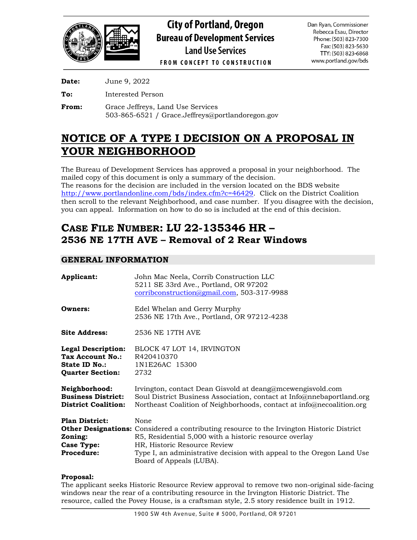

**Date:** June 9, 2022

**To:** Interested Person

**From:** Grace Jeffreys, Land Use Services 503-865-6521 / Grace.Jeffreys@portlandoregon.gov

# **NOTICE OF A TYPE I DECISION ON A PROPOSAL IN YOUR NEIGHBORHOOD**

The Bureau of Development Services has approved a proposal in your neighborhood. The mailed copy of this document is only a summary of the decision. The reasons for the decision are included in the version located on the BDS website [http://www.portlandonline.com/bds/index.cfm?c=46429.](http://www.portlandonline.com/bds/index.cfm?c=46429) Click on the District Coalition then scroll to the relevant Neighborhood, and case number. If you disagree with the decision, you can appeal. Information on how to do so is included at the end of this decision.

# **CASE FILE NUMBER: LU 22-135346 HR – 2536 NE 17TH AVE – Removal of 2 Rear Windows**

## **GENERAL INFORMATION**

| Applicant:                                                                                       | John Mac Neela, Corrib Construction LLC<br>5211 SE 33rd Ave., Portland, OR 97202<br>corribconstruction@gmail.com, 503-317-9988                                                                                                                                                                          |
|--------------------------------------------------------------------------------------------------|---------------------------------------------------------------------------------------------------------------------------------------------------------------------------------------------------------------------------------------------------------------------------------------------------------|
| Owners:                                                                                          | Edel Whelan and Gerry Murphy<br>2536 NE 17th Ave., Portland, OR 97212-4238                                                                                                                                                                                                                              |
| <b>Site Address:</b>                                                                             | 2536 NE 17TH AVE                                                                                                                                                                                                                                                                                        |
| <b>Legal Description:</b><br>Tax Account No.:<br><b>State ID No.:</b><br><b>Quarter Section:</b> | BLOCK 47 LOT 14, IRVINGTON<br>R420410370<br>1N1E26AC 15300<br>2732                                                                                                                                                                                                                                      |
| Neighborhood:<br><b>Business District:</b><br><b>District Coalition:</b>                         | Irvington, contact Dean Gisvold at deang@mcewengisvold.com<br>Soul District Business Association, contact at Info@nnebaportland.org<br>Northeast Coalition of Neighborhoods, contact at info@necoalition.org                                                                                            |
| <b>Plan District:</b><br>Zoning:<br><b>Case Type:</b><br><b>Procedure:</b>                       | None<br><b>Other Designations:</b> Considered a contributing resource to the Irvington Historic District<br>R5, Residential 5,000 with a historic resource overlay<br>HR, Historic Resource Review<br>Type I, an administrative decision with appeal to the Oregon Land Use<br>Board of Appeals (LUBA). |

## **Proposal:**

The applicant seeks Historic Resource Review approval to remove two non-original side-facing windows near the rear of a contributing resource in the Irvington Historic District. The resource, called the Povey House, is a craftsman style, 2.5 story residence built in 1912.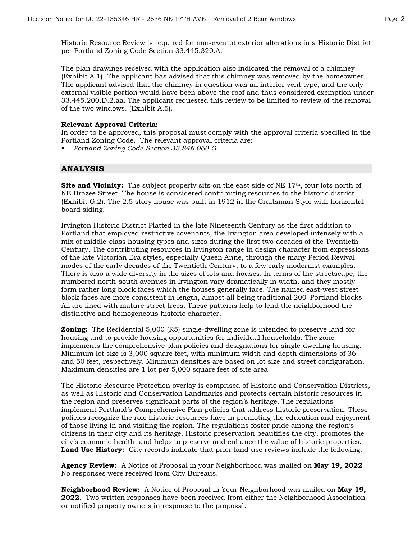Historic Resource Review is required for non-exempt exterior alterations in a Historic District per Portland Zoning Code Section 33.445.320.A.

The plan drawings received with the application also indicated the removal of a chimney (Exhibit A.1). The applicant has advised that this chimney was removed by the homeowner. The applicant advised that the chimney in question was an interior vent type, and the only external visible portion would have been above the roof and thus considered exemption under 33.445.200.D.2.aa. The applicant requested this review to be limited to review of the removal of the two windows. (Exhibit A.5).

#### **Relevant Approval Criteria:**

In order to be approved, this proposal must comply with the approval criteria specified in the Portland Zoning Code. The relevant approval criteria are:

*Portland Zoning Code Section 33.846.060.G*

## **ANALYSIS**

**Site and Vicinity:** The subject property sits on the east side of NE 17<sup>th</sup>, four lots north of NE Brazee Street. The house is considered contributing resources to the historic district (Exhibit G.2). The 2.5 story house was built in 1912 in the Craftsman Style with horizontal board siding.

Irvington Historic District Platted in the late Nineteenth Century as the first addition to Portland that employed restrictive covenants, the Irvington area developed intensely with a mix of middle-class housing types and sizes during the first two decades of the Twentieth Century. The contributing resources in Irvington range in design character from expressions of the late Victorian Era styles, especially Queen Anne, through the many Period Revival modes of the early decades of the Twentieth Century, to a few early modernist examples. There is also a wide diversity in the sizes of lots and houses. In terms of the streetscape, the numbered north-south avenues in Irvington vary dramatically in width, and they mostly form rather long block faces which the houses generally face. The named east-west street block faces are more consistent in length, almost all being traditional 200' Portland blocks. All are lined with mature street trees. These patterns help to lend the neighborhood the distinctive and homogeneous historic character.

**Zoning:** The Residential 5,000 (R5) single-dwelling zone is intended to preserve land for housing and to provide housing opportunities for individual households. The zone implements the comprehensive plan policies and designations for single-dwelling housing. Minimum lot size is 3,000 square feet, with minimum width and depth dimensions of 36 and 50 feet, respectively. Minimum densities are based on lot size and street configuration. Maximum densities are 1 lot per 5,000 square feet of site area.

The Historic Resource Protection overlay is comprised of Historic and Conservation Districts, as well as Historic and Conservation Landmarks and protects certain historic resources in the region and preserves significant parts of the region's heritage. The regulations implement Portland's Comprehensive Plan policies that address historic preservation. These policies recognize the role historic resources have in promoting the education and enjoyment of those living in and visiting the region. The regulations foster pride among the region's citizens in their city and its heritage. Historic preservation beautifies the city, promotes the city's economic health, and helps to preserve and enhance the value of historic properties. Land Use History: City records indicate that prior land use reviews include the following:

**Agency Review:** A Notice of Proposal in your Neighborhood was mailed on **May 19, 2022** No responses were received from City Bureaus.

**Neighborhood Review:** A Notice of Proposal in Your Neighborhood was mailed on **May 19, 2022**. Two written responses have been received from either the Neighborhood Association or notified property owners in response to the proposal.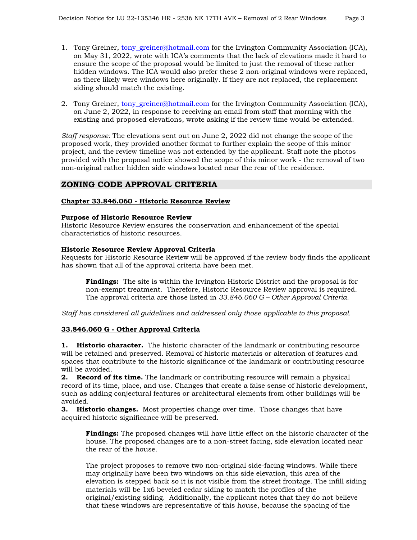- 1. Tony Greiner, [tony\\_greiner@hotmail.com](mailto:tony_greiner@hotmail.com) for the Irvington Community Association (ICA), on May 31, 2022, wrote with ICA's comments that the lack of elevations made it hard to ensure the scope of the proposal would be limited to just the removal of these rather hidden windows. The ICA would also prefer these 2 non-original windows were replaced, as there likely were windows here originally. If they are not replaced, the replacement siding should match the existing.
- 2. Tony Greiner, [tony\\_greiner@hotmail.com](mailto:tony_greiner@hotmail.com) for the Irvington Community Association (ICA), on June 2, 2022, in response to receiving an email from staff that morning with the existing and proposed elevations, wrote asking if the review time would be extended.

*Staff response:* The elevations sent out on June 2, 2022 did not change the scope of the proposed work, they provided another format to further explain the scope of this minor project, and the review timeline was not extended by the applicant. Staff note the photos provided with the proposal notice showed the scope of this minor work - the removal of two non-original rather hidden side windows located near the rear of the residence.

## **ZONING CODE APPROVAL CRITERIA**

### **Chapter 33.846.060 - Historic Resource Review**

### **Purpose of Historic Resource Review**

Historic Resource Review ensures the conservation and enhancement of the special characteristics of historic resources.

### **Historic Resource Review Approval Criteria**

Requests for Historic Resource Review will be approved if the review body finds the applicant has shown that all of the approval criteria have been met.

**Findings:** The site is within the Irvington Historic District and the proposal is for non-exempt treatment. Therefore, Historic Resource Review approval is required. The approval criteria are those listed in *33.846.060 G – Other Approval Criteria*.

*Staff has considered all guidelines and addressed only those applicable to this proposal.*

## **33.846.060 G - Other Approval Criteria**

**1. Historic character.** The historic character of the landmark or contributing resource will be retained and preserved. Removal of historic materials or alteration of features and spaces that contribute to the historic significance of the landmark or contributing resource will be avoided.

**2. Record of its time.** The landmark or contributing resource will remain a physical record of its time, place, and use. Changes that create a false sense of historic development, such as adding conjectural features or architectural elements from other buildings will be avoided.

**3. Historic changes.** Most properties change over time. Those changes that have acquired historic significance will be preserved.

**Findings:** The proposed changes will have little effect on the historic character of the house. The proposed changes are to a non-street facing, side elevation located near the rear of the house.

The project proposes to remove two non-original side-facing windows. While there may originally have been two windows on this side elevation, this area of the elevation is stepped back so it is not visible from the street frontage. The infill siding materials will be 1x6 beveled cedar siding to match the profiles of the original/existing siding. Additionally, the applicant notes that they do not believe that these windows are representative of this house, because the spacing of the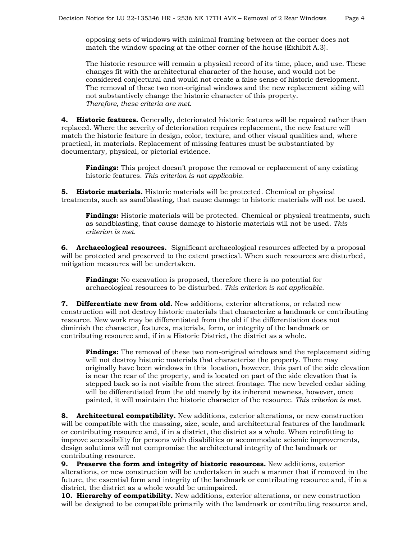opposing sets of windows with minimal framing between at the corner does not match the window spacing at the other corner of the house (Exhibit A.3).

The historic resource will remain a physical record of its time, place, and use. These changes fit with the architectural character of the house, and would not be considered conjectural and would not create a false sense of historic development. The removal of these two non-original windows and the new replacement siding will not substantively change the historic character of this property. *Therefore, these criteria are met.*

**4. Historic features.** Generally, deteriorated historic features will be repaired rather than replaced. Where the severity of deterioration requires replacement, the new feature will match the historic feature in design, color, texture, and other visual qualities and, where practical, in materials. Replacement of missing features must be substantiated by documentary, physical, or pictorial evidence.

**Findings:** This project doesn't propose the removal or replacement of any existing historic features. *This criterion is not applicable.*

**5. Historic materials.** Historic materials will be protected. Chemical or physical treatments, such as sandblasting, that cause damage to historic materials will not be used.

**Findings:** Historic materials will be protected. Chemical or physical treatments, such as sandblasting, that cause damage to historic materials will not be used. *This criterion is met.*

**6. Archaeological resources.** Significant archaeological resources affected by a proposal will be protected and preserved to the extent practical. When such resources are disturbed, mitigation measures will be undertaken.

**Findings:** No excavation is proposed, therefore there is no potential for archaeological resources to be disturbed. *This criterion is not applicable.*

**7. Differentiate new from old.** New additions, exterior alterations, or related new construction will not destroy historic materials that characterize a landmark or contributing resource. New work may be differentiated from the old if the differentiation does not diminish the character, features, materials, form, or integrity of the landmark or contributing resource and, if in a Historic District, the district as a whole.

**Findings:** The removal of these two non-original windows and the replacement siding will not destroy historic materials that characterize the property. There may originally have been windows in this location, however, this part of the side elevation is near the rear of the property, and is located on part of the side elevation that is stepped back so is not visible from the street frontage. The new beveled cedar siding will be differentiated from the old merely by its inherent newness, however, once painted, it will maintain the historic character of the resource. *This criterion is met.*

**8. Architectural compatibility.** New additions, exterior alterations, or new construction will be compatible with the massing, size, scale, and architectural features of the landmark or contributing resource and, if in a district, the district as a whole. When retrofitting to improve accessibility for persons with disabilities or accommodate seismic improvements, design solutions will not compromise the architectural integrity of the landmark or contributing resource.

**9. Preserve the form and integrity of historic resources.** New additions, exterior alterations, or new construction will be undertaken in such a manner that if removed in the future, the essential form and integrity of the landmark or contributing resource and, if in a district, the district as a whole would be unimpaired.

**10. Hierarchy of compatibility.** New additions, exterior alterations, or new construction will be designed to be compatible primarily with the landmark or contributing resource and,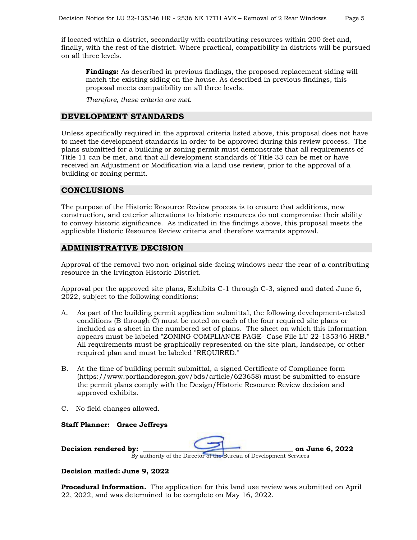if located within a district, secondarily with contributing resources within 200 feet and, finally, with the rest of the district. Where practical, compatibility in districts will be pursued on all three levels.

**Findings:** As described in previous findings, the proposed replacement siding will match the existing siding on the house. As described in previous findings, this proposal meets compatibility on all three levels.

*Therefore, these criteria are met.*

## **DEVELOPMENT STANDARDS**

Unless specifically required in the approval criteria listed above, this proposal does not have to meet the development standards in order to be approved during this review process. The plans submitted for a building or zoning permit must demonstrate that all requirements of Title 11 can be met, and that all development standards of Title 33 can be met or have received an Adjustment or Modification via a land use review, prior to the approval of a building or zoning permit.

## **CONCLUSIONS**

The purpose of the Historic Resource Review process is to ensure that additions, new construction, and exterior alterations to historic resources do not compromise their ability to convey historic significance. As indicated in the findings above, this proposal meets the applicable Historic Resource Review criteria and therefore warrants approval.

## **ADMINISTRATIVE DECISION**

Approval of the removal two non-original side-facing windows near the rear of a contributing resource in the Irvington Historic District.

Approval per the approved site plans, Exhibits C-1 through C-3, signed and dated June 6, 2022, subject to the following conditions:

- A. As part of the building permit application submittal, the following development-related conditions (B through C) must be noted on each of the four required site plans or included as a sheet in the numbered set of plans. The sheet on which this information appears must be labeled "ZONING COMPLIANCE PAGE- Case File LU 22-135346 HRB." All requirements must be graphically represented on the site plan, landscape, or other required plan and must be labeled "REQUIRED."
- B. At the time of building permit submittal, a signed Certificate of Compliance form [\(https://www.portlandoregon.gov/bds/article/623658\)](https://www.portlandoregon.gov/bds/article/623658) must be submitted to ensure the permit plans comply with the Design/Historic Resource Review decision and approved exhibits.
- C. No field changes allowed.
- **Staff Planner: Grace Jeffreys**

| Decision rendered by: |                                                                    | on June 6, 2022 |
|-----------------------|--------------------------------------------------------------------|-----------------|
|                       | By authority of the Director of the Bureau of Development Services |                 |

**Decision mailed: June 9, 2022**

**Procedural Information.** The application for this land use review was submitted on April 22, 2022, and was determined to be complete on May 16, 2022.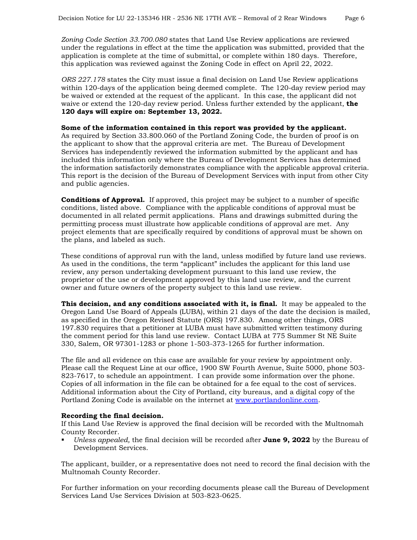*Zoning Code Section 33.700.080* states that Land Use Review applications are reviewed under the regulations in effect at the time the application was submitted, provided that the application is complete at the time of submittal, or complete within 180 days. Therefore, this application was reviewed against the Zoning Code in effect on April 22, 2022.

*ORS 227.178* states the City must issue a final decision on Land Use Review applications within 120-days of the application being deemed complete. The 120-day review period may be waived or extended at the request of the applicant. In this case, the applicant did not waive or extend the 120-day review period. Unless further extended by the applicant, **the 120 days will expire on: September 13, 2022.**

#### **Some of the information contained in this report was provided by the applicant.**

As required by Section 33.800.060 of the Portland Zoning Code, the burden of proof is on the applicant to show that the approval criteria are met. The Bureau of Development Services has independently reviewed the information submitted by the applicant and has included this information only where the Bureau of Development Services has determined the information satisfactorily demonstrates compliance with the applicable approval criteria. This report is the decision of the Bureau of Development Services with input from other City and public agencies.

**Conditions of Approval.** If approved, this project may be subject to a number of specific conditions, listed above. Compliance with the applicable conditions of approval must be documented in all related permit applications. Plans and drawings submitted during the permitting process must illustrate how applicable conditions of approval are met. Any project elements that are specifically required by conditions of approval must be shown on the plans, and labeled as such.

These conditions of approval run with the land, unless modified by future land use reviews. As used in the conditions, the term "applicant" includes the applicant for this land use review, any person undertaking development pursuant to this land use review, the proprietor of the use or development approved by this land use review, and the current owner and future owners of the property subject to this land use review.

**This decision, and any conditions associated with it, is final.** It may be appealed to the Oregon Land Use Board of Appeals (LUBA), within 21 days of the date the decision is mailed, as specified in the Oregon Revised Statute (ORS) 197.830. Among other things, ORS 197.830 requires that a petitioner at LUBA must have submitted written testimony during the comment period for this land use review. Contact LUBA at 775 Summer St NE Suite 330, Salem, OR 97301-1283 or phone 1-503-373-1265 for further information.

The file and all evidence on this case are available for your review by appointment only. Please call the Request Line at our office, 1900 SW Fourth Avenue, Suite 5000, phone 503- 823-7617, to schedule an appointment. I can provide some information over the phone. Copies of all information in the file can be obtained for a fee equal to the cost of services. Additional information about the City of Portland, city bureaus, and a digital copy of the Portland Zoning Code is available on the internet at [www.portlandonline.com.](http://www.portlandonline.com/)

#### **Recording the final decision.**

If this Land Use Review is approved the final decision will be recorded with the Multnomah County Recorder.

 *Unless appealed,* the final decision will be recorded after **June 9, 2022** by the Bureau of Development Services.

The applicant, builder, or a representative does not need to record the final decision with the Multnomah County Recorder.

For further information on your recording documents please call the Bureau of Development Services Land Use Services Division at 503-823-0625.